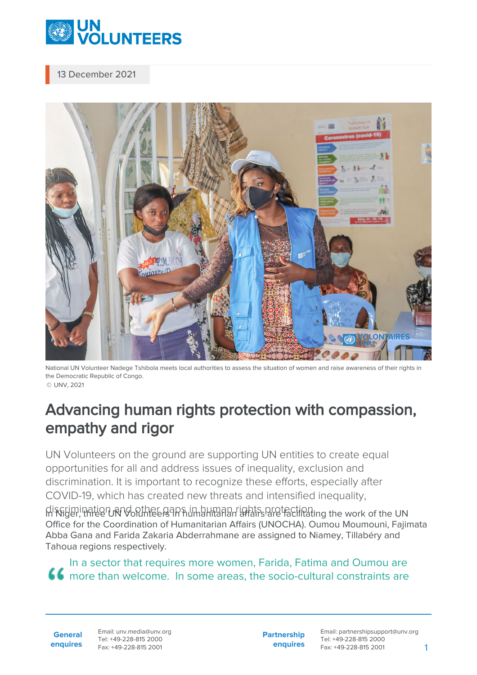

## 13 December 2021



National UN Volunteer Nadege Tshibola meets local authorities to assess the situation of women and raise awareness of their rights in the Democratic Republic of Congo. © UNV, 2021

## Advancing human rights protection with compassion, empathy and rigor

UN Volunteers on the ground are supporting UN entities to create equal opportunities for all and address issues of inequality, exclusion and discrimination. It is important to recognize these efforts, especially after COVID-19, which has created new threats and intensified inequality,

discrimination and other gaps in human rights protection. In Niger, three UN Volunteers in humanitarian affairs are facilitating the work of the UN Office for the Coordination of Humanitarian Affairs (UNOCHA). Oumou Moumouni, Fajimata Abba Gana and Farida Zakaria Abderrahmane are assigned to Niamey, Tillabéry and Tahoua regions respectively.

In a sector that requires more women, Farida, Fatima and Oumou are more than welcome. In some areas, the socio-cultural constraints are

**General enquires** **Partnership enquires**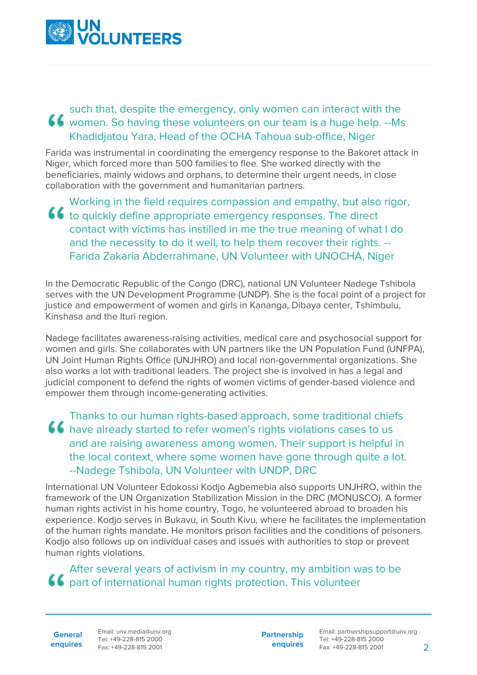

## such that, despite the emergency, only women can interact with the women. So having these volunteers on our team is a huge help. --Ms Khadidjatou Yara, Head of the OCHA Tahoua sub-office, Niger

Farida was instrumental in coordinating the emergency response to the Bakoret attack in Niger, which forced more than 500 families to flee. She worked directly with the beneficiaries, mainly widows and orphans, to determine their urgent needs, in close collaboration with the government and humanitarian partners.

Working in the field requires compassion and empathy, but also rigor, to quickly define appropriate emergency responses. The direct contact with victims has instilled in me the true meaning of what I do and the necessity to do it well, to help them recover their rights. --Farida Zakaria Abderrahmane, UN Volunteer with UNOCHA, Niger

In the Democratic Republic of the Congo (DRC), national UN Volunteer Nadege Tshibola serves with the UN Development Programme (UNDP). She is the focal point of a project for justice and empowerment of women and girls in Kananga, Dibaya center, Tshimbulu, Kinshasa and the Ituri region.

Nadege facilitates awareness-raising activities, medical care and psychosocial support for women and girls. She collaborates with UN partners like the UN Population Fund (UNFPA), UN Joint Human Rights Office (UNJHRO) and local non-governmental organizations. She also works a lot with traditional leaders. The project she is involved in has a legal and judicial component to defend the rights of women victims of gender-based violence and empower them through income-generating activities.

Thanks to our human rights-based approach, some traditional chiefs **66** have already started to refer women's rights violations cases to us and are raising awareness among women. Their support is helpful in the local context, where some women have gone through quite a lot. --Nadege Tshibola, UN Volunteer with UNDP, DRC

International UN Volunteer Edokossi Kodjo Agbemebia also supports UNJHRO, within the framework of the UN Organization Stabilization Mission in the DRC (MONUSCO). A former human rights activist in his home country, Togo, he volunteered abroad to broaden his experience. Kodjo serves in Bukavu, in South Kivu, where he facilitates the implementation of the human rights mandate. He monitors prison facilities and the conditions of prisoners. Kodjo also follows up on individual cases and issues with authorities to stop or prevent human rights violations.

After several years of activism in my country, my ambition was to be part of international human rights protection. This volunteer

**General enquires** Email: unv.media@unv.org Tel: +49-228-815 2000 Fax: +49-228-815 2001

**Partnership enquires** Email: partnershipsupport@unv.org Tel: +49-228-815 2000 Fax: +49-228-815 2001 2